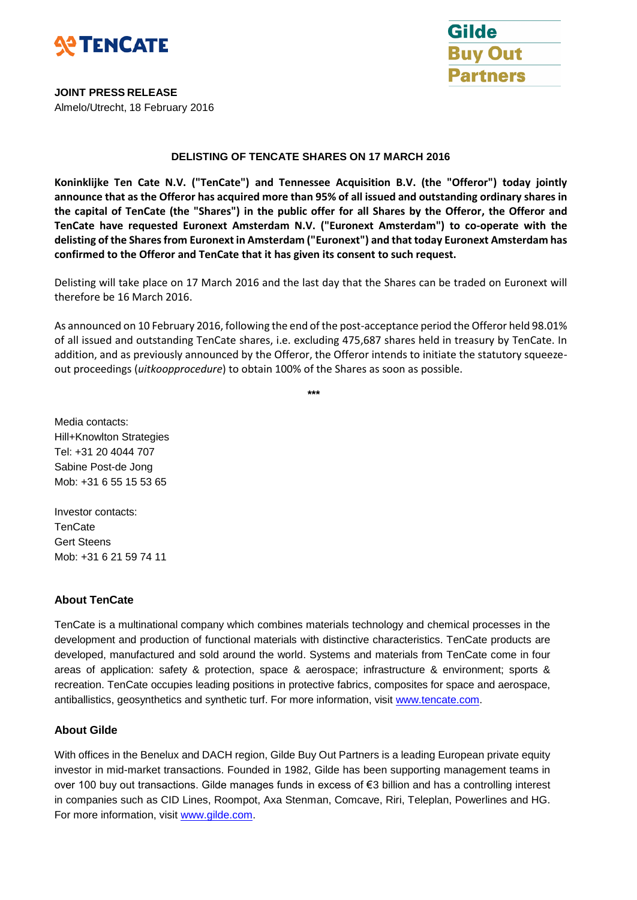



**JOINT PRESS RELEASE** Almelo/Utrecht, 18 February 2016

#### **DELISTING OF TENCATE SHARES ON 17 MARCH 2016**

**Koninklijke Ten Cate N.V. ("TenCate") and Tennessee Acquisition B.V. (the "Offeror") today jointly announce that as the Offeror has acquired more than 95% of all issued and outstanding ordinary shares in the capital of TenCate (the "Shares") in the public offer for all Shares by the Offeror, the Offeror and TenCate have requested Euronext Amsterdam N.V. ("Euronext Amsterdam") to co-operate with the delisting of the Shares from Euronext in Amsterdam ("Euronext") and that today Euronext Amsterdam has confirmed to the Offeror and TenCate that it has given its consent to such request.**

Delisting will take place on 17 March 2016 and the last day that the Shares can be traded on Euronext will therefore be 16 March 2016.

As announced on 10 February 2016, following the end of the post-acceptance period the Offeror held 98.01% of all issued and outstanding TenCate shares, i.e. excluding 475,687 shares held in treasury by TenCate. In addition, and as previously announced by the Offeror, the Offeror intends to initiate the statutory squeezeout proceedings (*uitkoopprocedure*) to obtain 100% of the Shares as soon as possible.

**\*\*\***

Media contacts: Hill+Knowlton Strategies Tel: +31 20 4044 707 Sabine Post-de Jong Mob: +31 6 55 15 53 65

Investor contacts: **TenCate** Gert Steens Mob: +31 6 21 59 74 11

## **About TenCate**

TenCate is a multinational company which combines materials technology and chemical processes in the development and production of functional materials with distinctive characteristics. TenCate products are developed, manufactured and sold around the world. Systems and materials from TenCate come in four areas of application: safety & protection, space & aerospace; infrastructure & environment; sports & recreation. TenCate occupies leading positions in protective fabrics, composites for space and aerospace, antiballistics, geosynthetics and synthetic turf. For more information, visit [www.tencate.com.](http://www.tencate.com/)

## **About Gilde**

With offices in the Benelux and DACH region, Gilde Buy Out Partners is a leading European private equity investor in mid-market transactions. Founded in 1982, Gilde has been supporting management teams in over 100 buy out transactions. Gilde manages funds in excess of €3 billion and has a controlling interest in companies such as CID Lines, Roompot, Axa Stenman, Comcave, Riri, Teleplan, Powerlines and HG. For more information, visit [www.gilde.com.](http://www.gilde.com/)